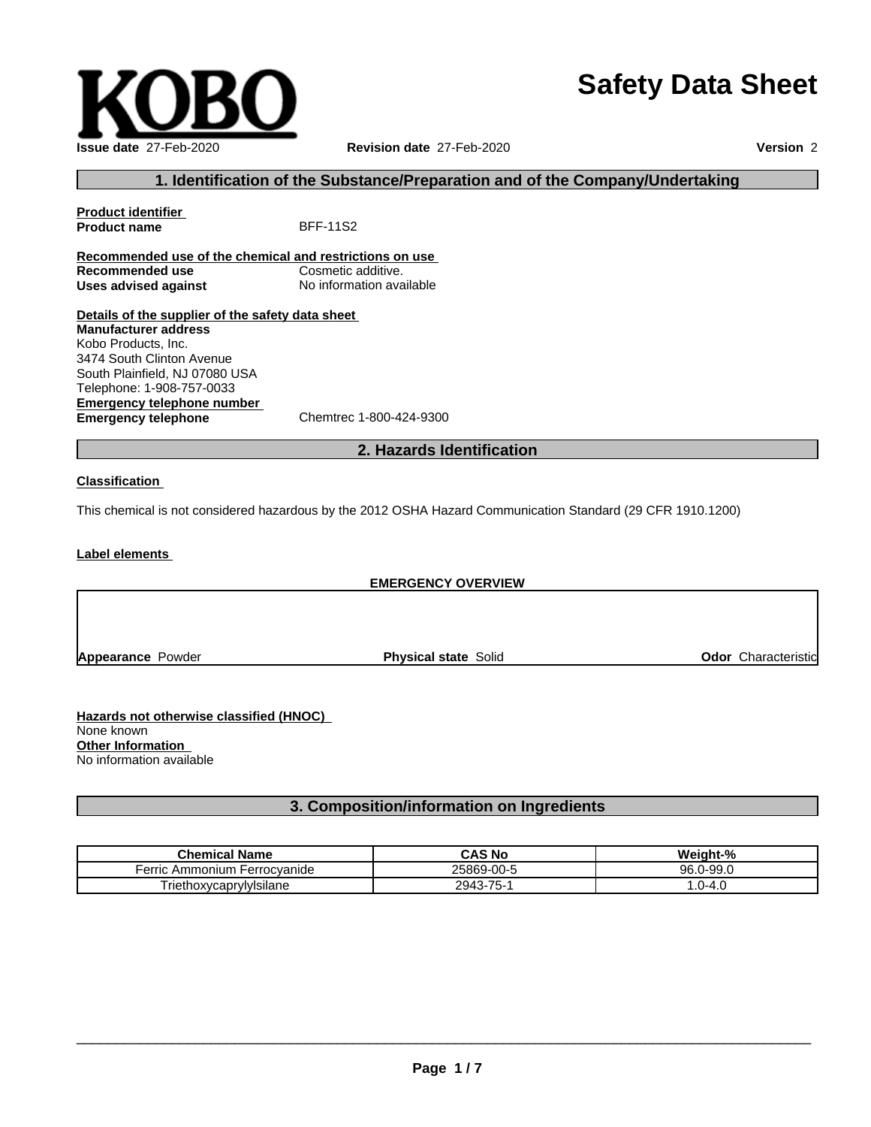# **Safety Data Sheet**

| <b>Issue date 27-Feb-2020</b> |
|-------------------------------|

**Issue date** 27-Feb-2020 **Revision date** 27-Feb-2020 **Version** 2

## **1. Identification of the Substance/Preparation and of the Company/Undertaking**

**Product identifier Product name** BFF-11S2 **Recommended use of the chemical and restrictions on use Recommended use Cosmetic additive. Uses advised against** No information available **Details of the supplier of the safety data sheet Manufacturer address** Kobo Products, Inc. 3474 South Clinton Avenue South Plainfield, NJ 07080 USA Telephone: 1-908-757-0033

**Emergency telephone number**

**Emergency telephone** Chemtrec 1-800-424-9300

## **2. Hazards Identification**

**Classification**

This chemical is not considered hazardous by the 2012 OSHA Hazard Communication Standard (29 CFR 1910.1200)

**Label elements**

**EMERGENCY OVERVIEW Appearance Powder <b>Physical state** Solid **Odor** Characteristic

**Hazards not otherwise classified (HNOC)** None known **Other Information** No information available

## **3. Composition/information on Ingredients**

| <b>Chemical Name</b>              | <b>CAS No</b>                        | . .<br>$\mathbf{a}$<br>weiar (<br>.nt- |
|-----------------------------------|--------------------------------------|----------------------------------------|
| erric<br>Ferrocvanide<br>Ammonium | 25869-00-5                           | $\sim$ $\sim$<br>9R.<br>ש-פ-י<br>JU.U  |
| - -<br>I riethoxycaprylylsilane   | $\overline{ }$<br>2943<br>- 61<br>ъ. | ົ^-4.ປ<br>. .                          |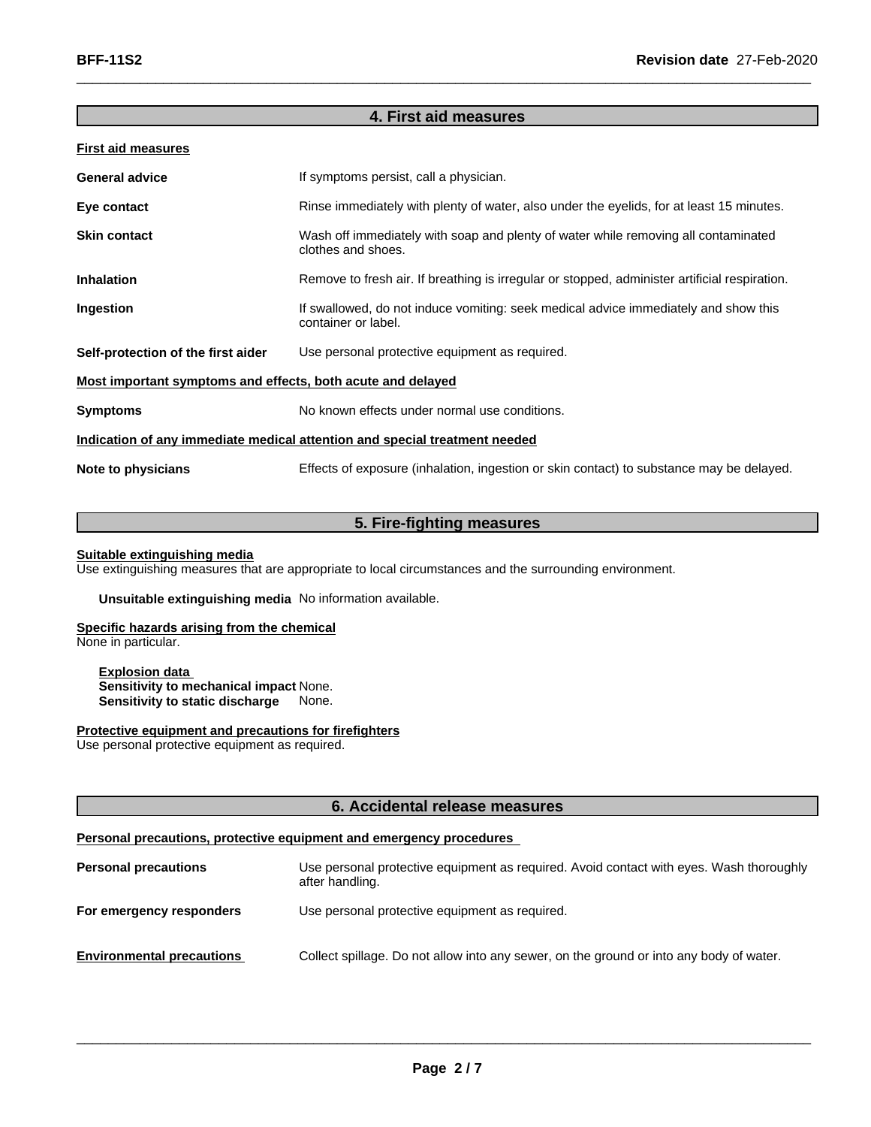## **4. First aid measures**

## **First aid measures**

| <b>General advice</b>                                                      | If symptoms persist, call a physician.                                                                     |  |
|----------------------------------------------------------------------------|------------------------------------------------------------------------------------------------------------|--|
| Eye contact                                                                | Rinse immediately with plenty of water, also under the eyelids, for at least 15 minutes.                   |  |
| <b>Skin contact</b>                                                        | Wash off immediately with soap and plenty of water while removing all contaminated<br>clothes and shoes.   |  |
| <b>Inhalation</b>                                                          | Remove to fresh air. If breathing is irregular or stopped, administer artificial respiration.              |  |
| Ingestion                                                                  | If swallowed, do not induce vomiting: seek medical advice immediately and show this<br>container or label. |  |
| Self-protection of the first aider                                         | Use personal protective equipment as required.                                                             |  |
| Most important symptoms and effects, both acute and delayed                |                                                                                                            |  |
| <b>Symptoms</b>                                                            | No known effects under normal use conditions.                                                              |  |
| Indication of any immediate medical attention and special treatment needed |                                                                                                            |  |
| Note to physicians                                                         | Effects of exposure (inhalation, ingestion or skin contact) to substance may be delayed.                   |  |
|                                                                            |                                                                                                            |  |

## **5. Fire-fighting measures**

### **Suitable extinguishing media**

Use extinguishing measures that are appropriate to local circumstances and the surrounding environment.

**Unsuitable extinguishing media** No information available.

## **Specific hazards arising from the chemical**

None in particular.

**Explosion data Sensitivity to mechanical impact** None. **Sensitivity to static discharge** None.

## **Protective equipment and precautions for firefighters**

Use personal protective equipment as required.

### **6. Accidental release measures**

## **Personal precautions, protective equipment and emergency procedures**

| <b>Personal precautions</b>      | Use personal protective equipment as required. Avoid contact with eyes. Wash thoroughly<br>after handling. |
|----------------------------------|------------------------------------------------------------------------------------------------------------|
| For emergency responders         | Use personal protective equipment as required.                                                             |
| <b>Environmental precautions</b> | Collect spillage. Do not allow into any sewer, on the ground or into any body of water.                    |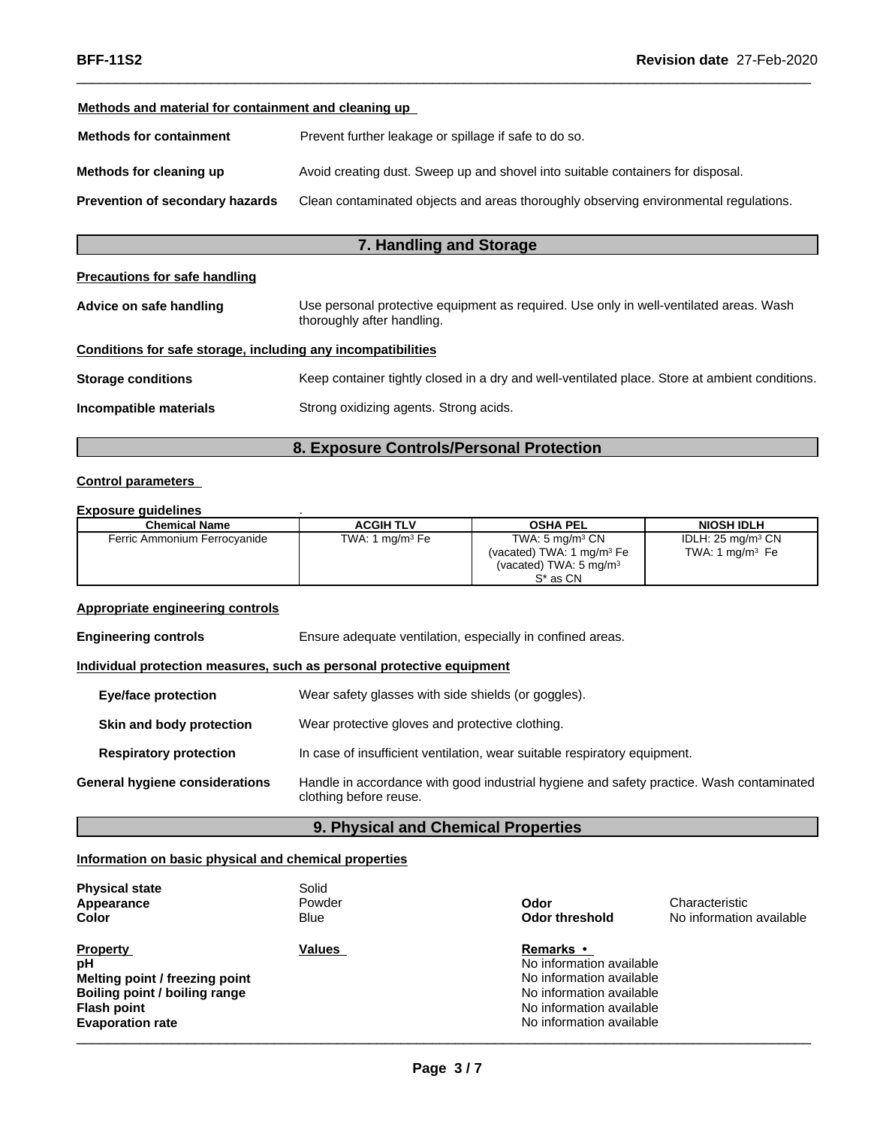## **Methods and material for containment and cleaning up**

| <b>Methods for containment</b>  | Prevent further leakage or spillage if safe to do so.                                |
|---------------------------------|--------------------------------------------------------------------------------------|
| Methods for cleaning up         | Avoid creating dust. Sweep up and shovel into suitable containers for disposal.      |
| Prevention of secondary hazards | Clean contaminated objects and areas thoroughly observing environmental regulations. |

## **7. Handling and Storage**

## **Precautions for safe handling**

| Advice on safe handling                                      | Use personal protective equipment as required. Use only in well-ventilated areas. Wash<br>thoroughly after handling. |
|--------------------------------------------------------------|----------------------------------------------------------------------------------------------------------------------|
| Conditions for safe storage, including any incompatibilities |                                                                                                                      |
| <b>Storage conditions</b>                                    | Keep container tightly closed in a dry and well-ventilated place. Store at ambient conditions.                       |
| Incompatible materials                                       | Strong oxidizing agents. Strong acids.                                                                               |

## **8. Exposure Controls/Personal Protection**

### **Control parameters**

## **Exposure guidelines** .

| Chemical Name                | <b>ACGIH TLV</b>            | <b>OSHA PEL</b>                    | <b>NIOSH IDLH</b>                    |
|------------------------------|-----------------------------|------------------------------------|--------------------------------------|
| Ferric Ammonium Ferrocyanide | TWA: 1 mg/m <sup>3</sup> Fe | TWA: $5 \text{ mg/m}^3 \text{ CN}$ | IDLH: $25 \text{ ma/m}^3 \text{ CN}$ |
|                              |                             | (vacated) TWA: 1 $mq/m3 Fe$        | TWA: 1 $mq/m3$ Fe                    |
|                              |                             | (vacated) TWA: $5 \text{ mg/m}^3$  |                                      |
|                              |                             | S <sup>*</sup> as CN               |                                      |

### **Appropriate engineering controls**

**Engineering controls** Ensure adequate ventilation, especially in confined areas.

## **Individual protection measures, such as personal protective equipment**

| <b>Eye/face protection</b>     | Wear safety glasses with side shields (or goggles).                                                                |
|--------------------------------|--------------------------------------------------------------------------------------------------------------------|
| Skin and body protection       | Wear protective gloves and protective clothing.                                                                    |
| <b>Respiratory protection</b>  | In case of insufficient ventilation, wear suitable respiratory equipment.                                          |
| General hygiene considerations | Handle in accordance with good industrial hygiene and safety practice. Wash contaminated<br>clothing before reuse. |

## **9. Physical and Chemical Properties**

## **Information on basic physical and chemical properties**

| <b>Physical state</b><br>Appearance<br>Color                                                                                              | Solid<br>Powder<br>Blue | Odor<br>Odor threshold                                                                                                                                       | Characteristic<br>No information available |  |
|-------------------------------------------------------------------------------------------------------------------------------------------|-------------------------|--------------------------------------------------------------------------------------------------------------------------------------------------------------|--------------------------------------------|--|
| <b>Property</b><br>рH<br>Melting point / freezing point<br>Boiling point / boiling range<br><b>Flash point</b><br><b>Evaporation rate</b> | <b>Values</b>           | <b>Remarks</b> •<br>No information available<br>No information available<br>No information available<br>No information available<br>No information available |                                            |  |
|                                                                                                                                           |                         |                                                                                                                                                              |                                            |  |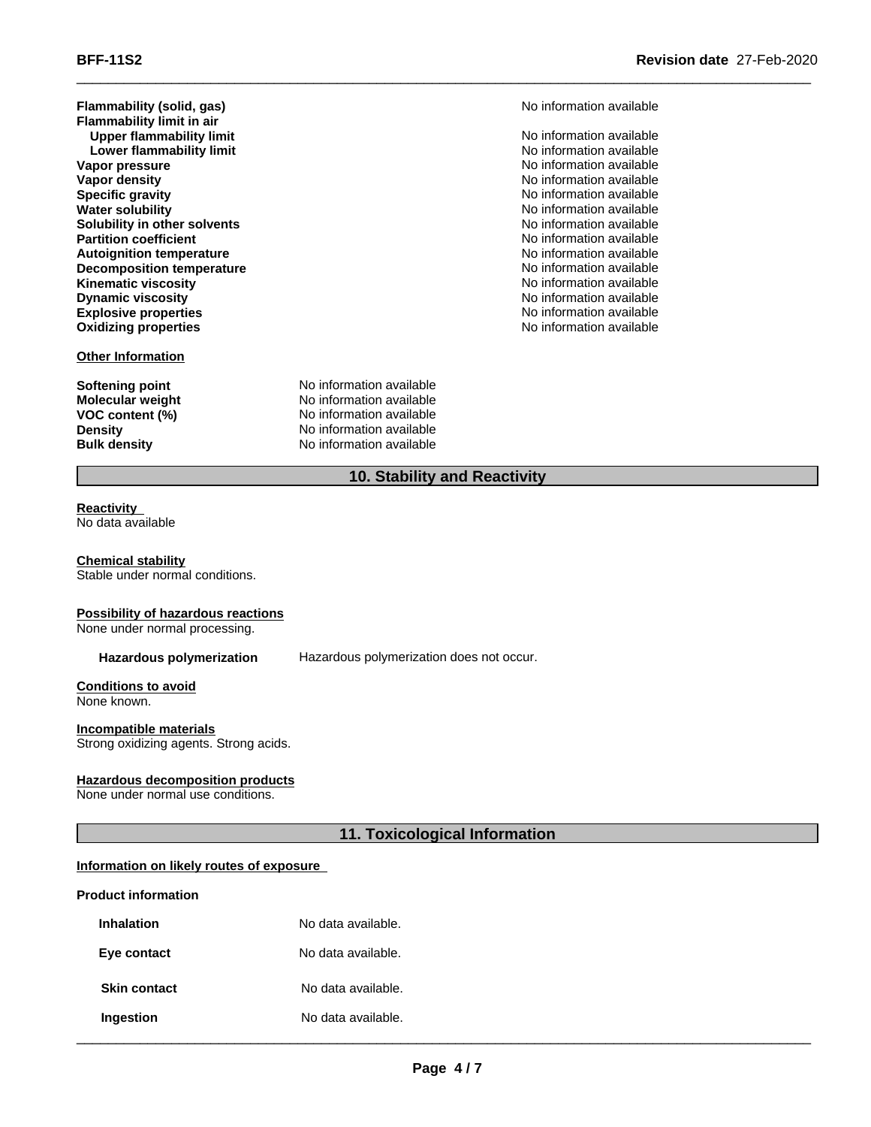**Flammability (solid, gas)** and **here** is a straight of the Mondromation available **Flammability limit in air Upper flammability limit**  $\blacksquare$  No information available **Lower flammability limit**  $\qquad \qquad \qquad$  No information available **Vapor pressure**<br> **Vapor density**<br> **Vapor density**<br> **Vapor density**<br> **Vapor density Vapor density**<br> **Specific gravity**<br>
Specific gravity **Specific gravity**<br> **Specific gravity**<br> **Water solubility**<br> **Water solubility**<br> **Water solubility Solubility in other solvents**<br> **Partition coefficient**<br> **Partition coefficient**<br> **Partition coefficient Partition coefficient**<br> **Autoignition temperature**<br> **Autoignition temperature**<br> **Autoignition available Autoignition temperature**<br> **Decomposition temperature** Noinformation available<br>
No information available **Decomposition temperature**  $\blacksquare$  No information available<br> **Kinematic viscosity** No information available **Kinematic viscosity**<br>Dynamic viscosity **Dynamic viscosity**<br> **Explosive properties**<br> **Explosive properties**<br> **Explosive properties Explosive properties**<br> **Explosive properties**<br> **Oxidizing properties**<br> **Oxidizing properties**<br> **No** information available

### **Other Information**

**Softening point**<br> **Molecular weight**<br> **Molecular weight**<br> **Molecular weight**<br> **Molecular weight Molecular weight Molecular <b>weight** No information available<br> **VOC content (%)** No information available **VOC content (%)**<br> **Density**<br>
No information available<br>
No information available **Density Density** No information available<br> **Bulk density No information available No information available** 

**No information available No information available** 

## **10. Stability and Reactivity**

#### **Reactivity** No data available

#### **Chemical stability** Stable under normal conditions.

### **Possibility of hazardous reactions**

None under normal processing.

**Hazardous polymerization** Hazardous polymerization does not occur.

#### **Conditions to avoid** None known.

**Incompatible materials** Strong oxidizing agents. Strong acids.

### **Hazardous decomposition products**

None under normal use conditions.

## **11. Toxicological Information**

### **Information on likely routes of exposure**

### **Product information**

| <b>Inhalation</b>   | No data available. |
|---------------------|--------------------|
| Eye contact         | No data available. |
| <b>Skin contact</b> | No data available. |
| Ingestion           | No data available. |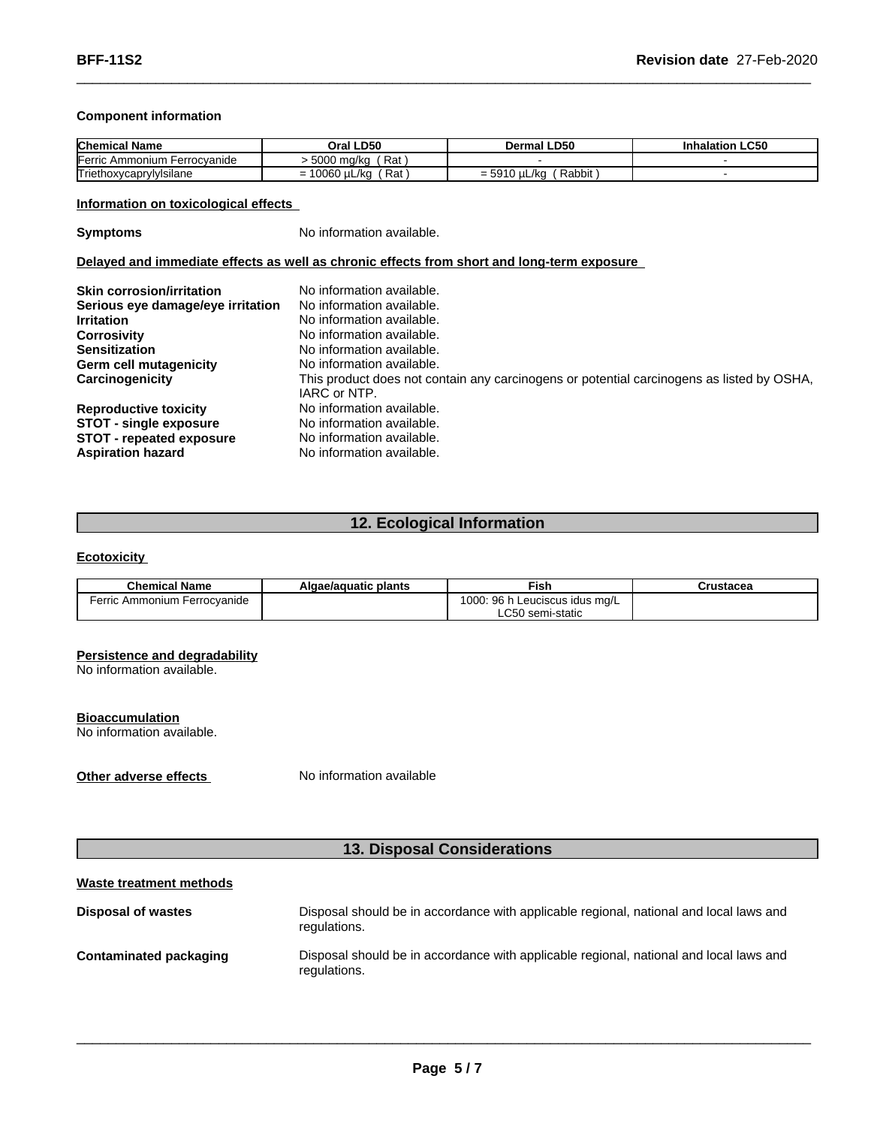## **Component information**

| <b>Chemical Name</b>                       | <b>LD50</b><br>Oral                      | ∟D50<br>Dermal               | <b>Inhalation LC50</b> |
|--------------------------------------------|------------------------------------------|------------------------------|------------------------|
| <b>IFerric</b><br>Ferrocvanide<br>Ammonium | Rat<br>5000 ma/ka                        |                              |                        |
| - -<br>Triethoxycapry"<br>rylylsılane      | Rat<br>0.000<br>/kc<br>ש י<br>' 16C<br>= | Rabbit<br>0 µL/ka<br>$= 591$ |                        |

## **Information on toxicological effects**

**Symptoms** No information available.

### **Delayed and immediate effects as well as chronic effects from short and long-term exposure**

| <b>Skin corrosion/irritation</b>  | No information available.                                                                                 |
|-----------------------------------|-----------------------------------------------------------------------------------------------------------|
| Serious eye damage/eye irritation | No information available.                                                                                 |
| <b>Irritation</b>                 | No information available.                                                                                 |
| <b>Corrosivity</b>                | No information available.                                                                                 |
| <b>Sensitization</b>              | No information available.                                                                                 |
| Germ cell mutagenicity            | No information available.                                                                                 |
| Carcinogenicity                   | This product does not contain any carcinogens or potential carcinogens as listed by OSHA,<br>IARC or NTP. |
| <b>Reproductive toxicity</b>      | No information available.                                                                                 |
| <b>STOT - single exposure</b>     | No information available.                                                                                 |
| <b>STOT</b> - repeated exposure   | No information available.                                                                                 |
| <b>Aspiration hazard</b>          | No information available.                                                                                 |

## **12. Ecological Information**

## **Ecotoxicity**

| <b>Chemical Name</b>             | Algae/aguatic plants | Fish                                                                               | Crustacea |
|----------------------------------|----------------------|------------------------------------------------------------------------------------|-----------|
| Ferric Ammonium<br>∟Ferrocvanide |                      | $\sim$<br>$\sim$<br>⊦Leuciscus idus mɑ/L<br>$\overline{\mathbf{u}}$<br>uuu.<br>JU. |           |
|                                  |                      | $\sim$ $\sim$<br>∖ semi-static<br>.C50                                             |           |

### **Persistence and degradability**

No information available.

### **Bioaccumulation**

No information available.

**Other adverse effects** No information available

## **13. Disposal Considerations**

## **Waste treatment methods**

| <b>Disposal of wastes</b> | Disposal should be in accordance with applicable regional, national and local laws and<br>regulations. |
|---------------------------|--------------------------------------------------------------------------------------------------------|
| Contaminated packaging    | Disposal should be in accordance with applicable regional, national and local laws and<br>regulations. |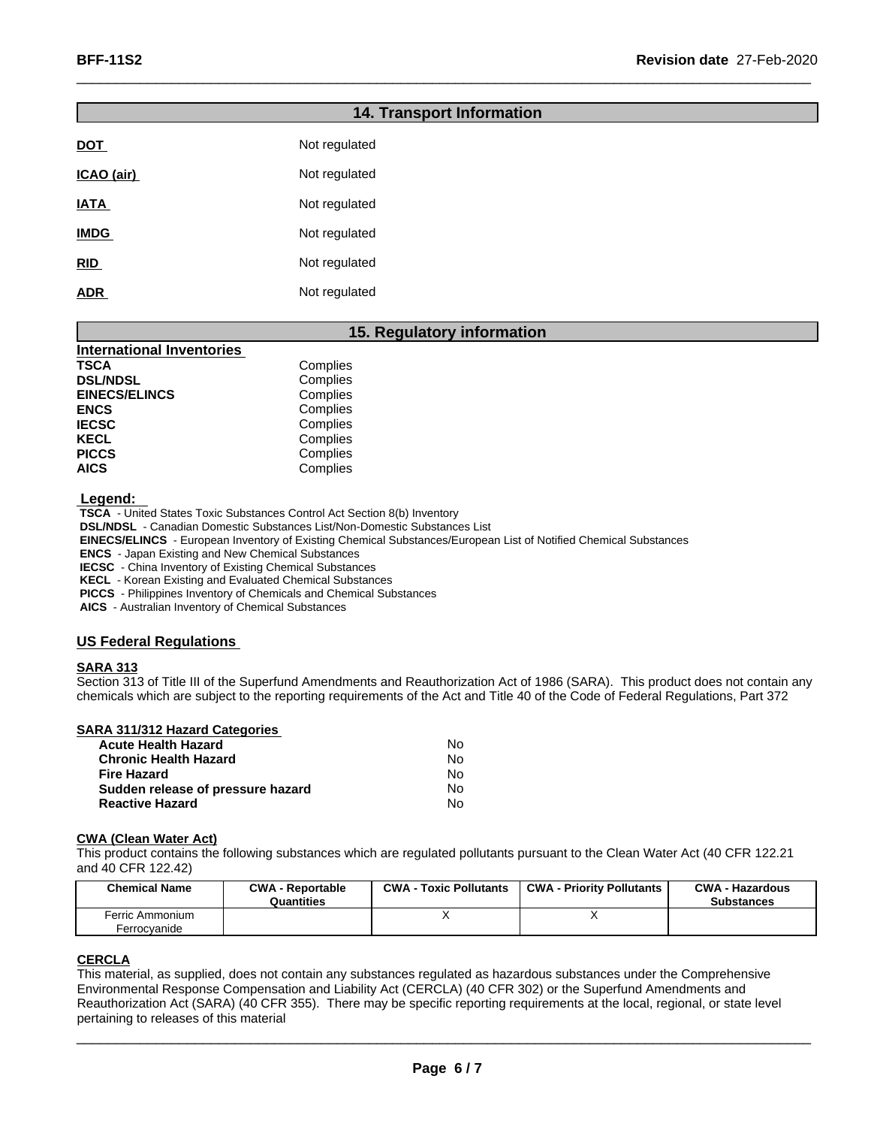# **14. Transport Information DOT** Not regulated **ICAO** (air) Not regulated **IATA** Not regulated **IMDG** Not regulated **RID** Not regulated **ADR** Not regulated

## **15. Regulatory information**

| Complies |
|----------|
| Complies |
| Complies |
| Complies |
| Complies |
| Complies |
| Complies |
| Complies |
|          |

 **Legend:** 

 **TSCA** - United States Toxic Substances Control Act Section 8(b) Inventory

 **DSL/NDSL** - Canadian Domestic Substances List/Non-Domestic Substances List

 **EINECS/ELINCS** - European Inventory of Existing Chemical Substances/European List of Notified Chemical Substances

 **ENCS** - Japan Existing and New Chemical Substances

 **IECSC** - China Inventory of Existing Chemical Substances

 **KECL** - Korean Existing and Evaluated Chemical Substances

 **PICCS** - Philippines Inventory of Chemicals and Chemical Substances

 **AICS** - Australian Inventory of Chemical Substances

## **US Federal Regulations**

### **SARA 313**

Section 313 of Title III of the Superfund Amendments and Reauthorization Act of 1986 (SARA). This product does not contain any chemicals which are subject to the reporting requirements of the Act and Title 40 of the Code of Federal Regulations, Part 372

| SARA 311/312 Hazard Categories    |    |  |
|-----------------------------------|----|--|
| <b>Acute Health Hazard</b>        | N٥ |  |
| <b>Chronic Health Hazard</b>      | No |  |
| Fire Hazard                       | No |  |
| Sudden release of pressure hazard | No |  |
| <b>Reactive Hazard</b>            | N٥ |  |

### **CWA** (Clean Water Act)

This product contains the following substances which are regulated pollutants pursuant to the Clean Water Act (40 CFR 122.21 and 40 CFR 122.42)

| <b>Chemical Name</b>            | <b>CWA - Reportable</b><br>Quantities | <b>CWA - Toxic Pollutants</b> | <b>CWA - Priority Pollutants</b> | <b>CWA - Hazardous</b><br><b>Substances</b> |
|---------------------------------|---------------------------------------|-------------------------------|----------------------------------|---------------------------------------------|
| Ferric Ammonium<br>Ferrocvanide |                                       |                               | $\overline{\phantom{a}}$         |                                             |

## **CERCLA**

This material, as supplied, does not contain any substances regulated as hazardous substances under the Comprehensive Environmental Response Compensation and Liability Act (CERCLA) (40 CFR 302) or the Superfund Amendments and Reauthorization Act (SARA) (40 CFR 355). There may be specific reporting requirements at the local, regional, or state level pertaining to releases of this material